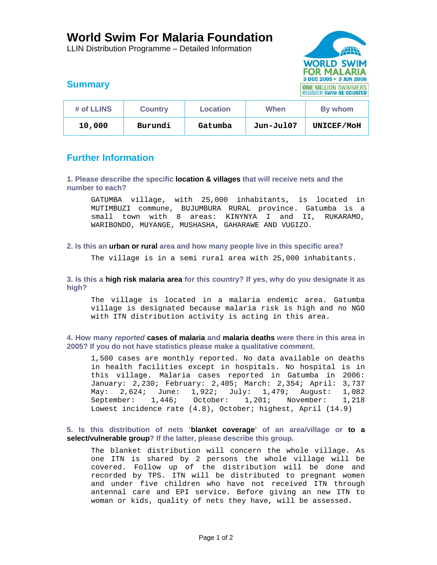# **World Swim For Malaria Foundation**

LLIN Distribution Programme – Detailed Information



# **Summary**

| # of LLINS | <b>Country</b> | Location | When      | By whom           |
|------------|----------------|----------|-----------|-------------------|
| 10,000     | Burundi        | Gatumba  | Jun-Jul07 | <b>UNICEF/MOH</b> |

# **Further Information**

**1. Please describe the specific location & villages that will receive nets and the number to each?** 

GATUMBA village, with 25,000 inhabitants, is located in MUTIMBUZI commune, BUJUMBURA RURAL province. Gatumba is a small town with 8 areas: KINYNYA I and II, RUKARAMO, WARIBONDO, MUYANGE, MUSHASHA, GAHARAWE AND VUGIZO.

## **2. Is this an urban or rural area and how many people live in this specific area?**

The village is in a semi rural area with 25,000 inhabitants.

**3. Is this a high risk malaria area for this country? If yes, why do you designate it as high?** 

The village is located in a malaria endemic area. Gatumba village is designated because malaria risk is high and no NGO with ITN distribution activity is acting in this area.

**4. How many** *reported* **cases of malaria and malaria deaths were there in this area in 2005? If you do not have statistics please make a qualitative comment.** 

1,500 cases are monthly reported. No data available on deaths in health facilities except in hospitals. No hospital is in this village. Malaria cases reported in Gatumba in 2006: January: 2,230; February: 2,405; March: 2,354; April: 3,737 May: 2,624; June: 1,922; July: 1,479; August: 1,082 September: 1,446; October: 1,201; November: 1,218 Lowest incidence rate (4.8), October; highest, April (14.9)

# **5. Is this distribution of nets 'blanket coverage' of an area/village or to a select/vulnerable group? If the latter, please describe this group.**

The blanket distribution will concern the whole village. As one ITN is shared by 2 persons the whole village will be covered. Follow up of the distribution will be done and recorded by TPS. ITN will be distributed to pregnant women and under five children who have not received ITN through antennal care and EPI service. Before giving an new ITN to woman or kids, quality of nets they have, will be assessed.